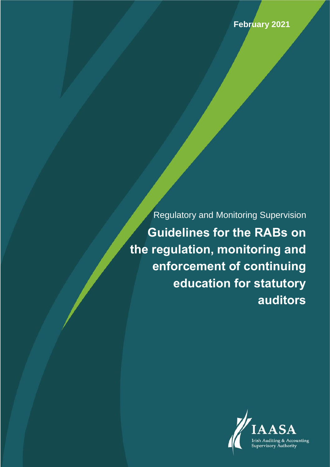Regulatory and Monitoring Supervision **Guidelines for the RABs on the regulation, monitoring and enforcement of continuing education for statutory auditors**

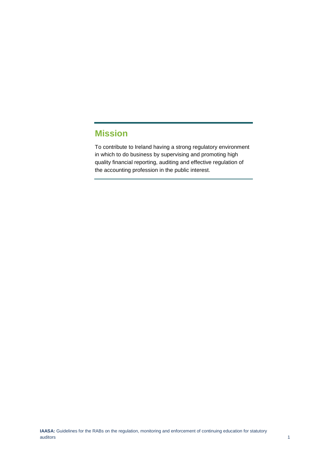# <span id="page-1-0"></span>**Mission**

To contribute to Ireland having a strong regulatory environment in which to do business by supervising and promoting high quality financial reporting, auditing and effective regulation of the accounting profession in the public interest.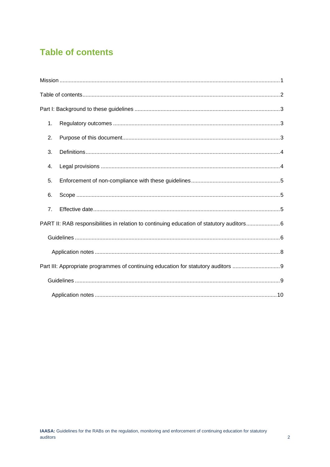## <span id="page-2-0"></span>**Table of contents**

| 1.                                                                                       |
|------------------------------------------------------------------------------------------|
| 2.                                                                                       |
| 3.                                                                                       |
| 4.                                                                                       |
| 5.                                                                                       |
| 6.                                                                                       |
| 7 <sub>1</sub>                                                                           |
| PART II: RAB responsibilities in relation to continuing education of statutory auditors6 |
|                                                                                          |
|                                                                                          |
| Part III: Appropriate programmes of continuing education for statutory auditors          |
|                                                                                          |
|                                                                                          |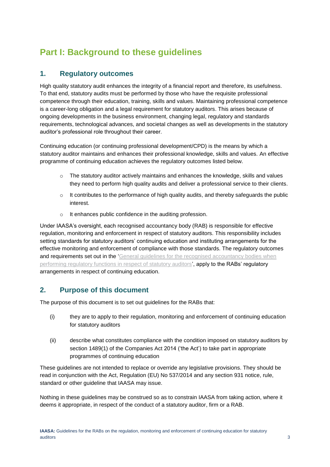## <span id="page-3-0"></span>**Part I: Background to these guidelines**

#### <span id="page-3-1"></span>**1. Regulatory outcomes**

High quality statutory audit enhances the integrity of a financial report and therefore, its usefulness. To that end, statutory audits must be performed by those who have the requisite professional competence through their education, training, skills and values. Maintaining professional competence is a career-long obligation and a legal requirement for statutory auditors. This arises because of ongoing developments in the business environment, changing legal, regulatory and standards requirements, technological advances, and societal changes as well as developments in the statutory auditor's professional role throughout their career.

Continuing education (or continuing professional development/CPD) is the means by which a statutory auditor maintains and enhances their professional knowledge, skills and values. An effective programme of continuing education achieves the regulatory outcomes listed below.

- $\circ$  The statutory auditor actively maintains and enhances the knowledge, skills and values they need to perform high quality audits and deliver a professional service to their clients.
- $\circ$  It contributes to the performance of high quality audits, and thereby safeguards the public interest.
- o It enhances public confidence in the auditing profession.

Under IAASA's oversight, each recognised accountancy body (RAB) is responsible for effective regulation, monitoring and enforcement in respect of statutory auditors. This responsibility includes setting standards for statutory auditors' continuing education and instituting arrangements for the effective monitoring and enforcement of compliance with those standards. The regulatory outcomes and requirements set out in the 'General guidelines for the recognised accountancy bodies when [performing regulatory functions in respect of statutory auditors',](https://iaasa.ie/IAASA/files/98/98565adc-7648-4835-9982-2bf433fcda3c.pdf) apply to the RABs' regulatory arrangements in respect of continuing education.

## <span id="page-3-2"></span>**2. Purpose of this document**

The purpose of this document is to set out guidelines for the RABs that:

- (i) they are to apply to their regulation, monitoring and enforcement of continuing education for statutory auditors
- (ii) describe what constitutes compliance with the condition imposed on statutory auditors by section 1489(1) of the Companies Act 2014 ('the Act') to take part in appropriate programmes of continuing education

These guidelines are not intended to replace or override any legislative provisions. They should be read in conjunction with the Act, Regulation (EU) No 537/2014 and any section 931 notice, rule, standard or other guideline that IAASA may issue.

Nothing in these guidelines may be construed so as to constrain IAASA from taking action, where it deems it appropriate, in respect of the conduct of a statutory auditor, firm or a RAB.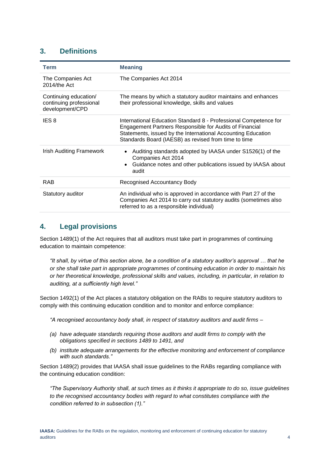#### <span id="page-4-0"></span>**3. Definitions**

| Term                                                                | <b>Meaning</b>                                                                                                                                                                                                                                      |
|---------------------------------------------------------------------|-----------------------------------------------------------------------------------------------------------------------------------------------------------------------------------------------------------------------------------------------------|
| The Companies Act<br>$2014$ /the Act                                | The Companies Act 2014                                                                                                                                                                                                                              |
| Continuing education/<br>continuing professional<br>development/CPD | The means by which a statutory auditor maintains and enhances<br>their professional knowledge, skills and values                                                                                                                                    |
| IES <sub>8</sub>                                                    | International Education Standard 8 - Professional Competence for<br>Engagement Partners Responsible for Audits of Financial<br>Statements, issued by the International Accounting Education<br>Standards Board (IAESB) as revised from time to time |
| Irish Auditing Framework                                            | Auditing standards adopted by IAASA under S1526(1) of the<br>$\bullet$<br>Companies Act 2014<br>Guidance notes and other publications issued by IAASA about<br>$\bullet$<br>audit                                                                   |
| <b>RAB</b>                                                          | <b>Recognised Accountancy Body</b>                                                                                                                                                                                                                  |
| Statutory auditor                                                   | An individual who is approved in accordance with Part 27 of the<br>Companies Act 2014 to carry out statutory audits (sometimes also<br>referred to as a responsible individual)                                                                     |

## <span id="page-4-1"></span>**4. Legal provisions**

Section 1489(1) of the Act requires that all auditors must take part in programmes of continuing education to maintain competence:

*"It shall, by virtue of this section alone, be a condition of a statutory auditor's approval … that he or she shall take part in appropriate programmes of continuing education in order to maintain his or her theoretical knowledge, professional skills and values, including, in particular, in relation to auditing, at a sufficiently high level."*

Section 1492(1) of the Act places a statutory obligation on the RABs to require statutory auditors to comply with this continuing education condition and to monitor and enforce compliance:

*"A recognised accountancy body shall, in respect of statutory auditors and audit firms –*

- *(a) have adequate standards requiring those auditors and audit firms to comply with the obligations specified in sections 1489 to 1491, and*
- *(b) institute adequate arrangements for the effective monitoring and enforcement of compliance with such standards."*

Section 1489(2) provides that IAASA shall issue guidelines to the RABs regarding compliance with the continuing education condition:

*"The Supervisory Authority shall, at such times as it thinks it appropriate to do so, issue guidelines to the recognised accountancy bodies with regard to what constitutes compliance with the condition referred to in subsection (1)."*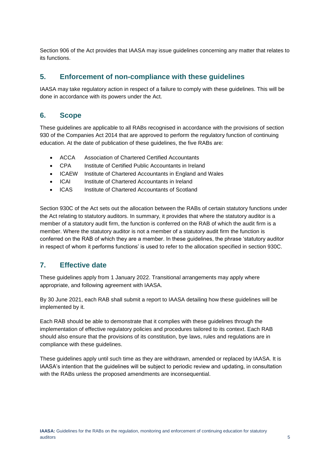Section 906 of the Act provides that IAASA may issue guidelines concerning any matter that relates to its functions.

#### <span id="page-5-0"></span>**5. Enforcement of non-compliance with these guidelines**

IAASA may take regulatory action in respect of a failure to comply with these guidelines. This will be done in accordance with its powers under the Act.

#### <span id="page-5-1"></span>**6. Scope**

These guidelines are applicable to all RABs recognised in accordance with the provisions of section 930 of the Companies Act 2014 that are approved to perform the regulatory function of continuing education. At the date of publication of these guidelines, the five RABs are:

- ACCA Association of Chartered Certified Accountants
- CPA Institute of Certified Public Accountants in Ireland
- ICAEW Institute of Chartered Accountants in England and Wales
- ICAI Institute of Chartered Accountants in Ireland
- ICAS Institute of Chartered Accountants of Scotland

Section 930C of the Act sets out the allocation between the RABs of certain statutory functions under the Act relating to statutory auditors. In summary, it provides that where the statutory auditor is a member of a statutory audit firm, the function is conferred on the RAB of which the audit firm is a member. Where the statutory auditor is not a member of a statutory audit firm the function is conferred on the RAB of which they are a member. In these guidelines, the phrase 'statutory auditor in respect of whom it performs functions' is used to refer to the allocation specified in section 930C.

#### <span id="page-5-2"></span>**7. Effective date**

These guidelines apply from 1 January 2022. Transitional arrangements may apply where appropriate, and following agreement with IAASA.

By 30 June 2021, each RAB shall submit a report to IAASA detailing how these guidelines will be implemented by it.

Each RAB should be able to demonstrate that it complies with these guidelines through the implementation of effective regulatory policies and procedures tailored to its context. Each RAB should also ensure that the provisions of its constitution, bye laws, rules and regulations are in compliance with these guidelines.

These guidelines apply until such time as they are withdrawn, amended or replaced by IAASA. It is IAASA's intention that the guidelines will be subject to periodic review and updating, in consultation with the RABs unless the proposed amendments are inconsequential.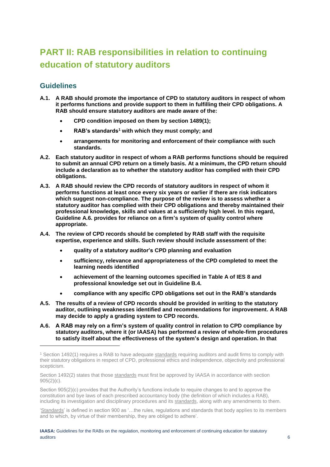# <span id="page-6-0"></span>**PART II: RAB responsibilities in relation to continuing education of statutory auditors**

#### <span id="page-6-1"></span>**Guidelines**

1

- **A.1. A RAB should promote the importance of CPD to statutory auditors in respect of whom it performs functions and provide support to them in fulfilling their CPD obligations. A RAB should ensure statutory auditors are made aware of the:**
	- **CPD condition imposed on them by section 1489(1);**
	- **RAB's standards<sup>1</sup> with which they must comply; and**
	- **arrangements for monitoring and enforcement of their compliance with such standards.**
- <span id="page-6-2"></span>**A.2. Each statutory auditor in respect of whom a RAB performs functions should be required to submit an annual CPD return on a timely basis. At a minimum, the CPD return should include a declaration as to whether the statutory auditor has complied with their CPD obligations.**
- **A.3. A RAB should review the CPD records of statutory auditors in respect of whom it performs functions at least once every six years or earlier if there are risk indicators which suggest non-compliance. The purpose of the review is to assess whether a statutory auditor has complied with their CPD obligations and thereby maintained their professional knowledge, skills and values at a sufficiently high level. In this regard, Guideline A.6. provides for reliance on a firm's system of quality control where appropriate.**
- **A.4. The review of CPD records should be completed by RAB staff with the requisite expertise, experience and skills. Such review should include assessment of the:**
	- **quality of a statutory auditor's CPD planning and evaluation**
	- **sufficiency, relevance and appropriateness of the CPD completed to meet the learning needs identified**
	- **achievement of the learning outcomes specified in Table A of IES 8 and professional knowledge set out in Guideline B.4.**
	- **compliance with any specific CPD obligations set out in the RAB's standards**
- **A.5. The results of a review of CPD records should be provided in writing to the statutory auditor, outlining weaknesses identified and recommendations for improvement. A RAB may decide to apply a grading system to CPD records.**
- **A.6. A RAB may rely on a firm's system of quality control in relation to CPD compliance by statutory auditors, where it (or IAASA) has performed a review of whole-firm procedures to satisfy itself about the effectiveness of the system's design and operation. In that**

'Standards' is defined in section 900 as '…the rules, regulations and standards that body applies to its members and to which, by virtue of their membership, they are obliged to adhere'.

<sup>&</sup>lt;sup>1</sup> Section 1492(1) requires a RAB to have adequate standards requiring auditors and audit firms to comply with their statutory obligations in respect of CPD, professional ethics and independence, objectivity and professional scepticism.

Section 1492(2) states that those standards must first be approved by IAASA in accordance with section 905(2)(c).

Section 905(2)(c) provides that the Authority's functions include to require changes to and to approve the constitution and bye laws of each prescribed accountancy body (the definition of which includes a RAB), including its investigation and disciplinary procedures and its standards, along with any amendments to them.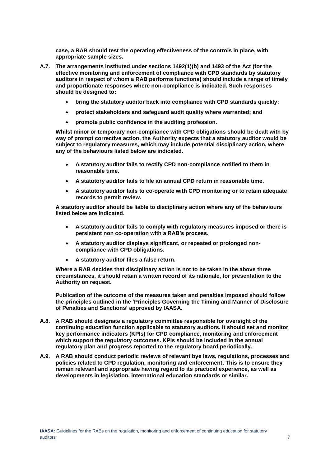**case, a RAB should test the operating effectiveness of the controls in place, with appropriate sample sizes.** 

- **A.7. The arrangements instituted under sections 1492(1)(b) and 1493 of the Act (for the effective monitoring and enforcement of compliance with CPD standards by statutory auditors in respect of whom a RAB performs functions) should include a range of timely and proportionate responses where non-compliance is indicated. Such responses should be designed to:**
	- **bring the statutory auditor back into compliance with CPD standards quickly;**
	- **protect stakeholders and safeguard audit quality where warranted; and**
	- **promote public confidence in the auditing profession.**

**Whilst minor or temporary non-compliance with CPD obligations should be dealt with by way of prompt corrective action, the Authority expects that a statutory auditor would be subject to regulatory measures, which may include potential disciplinary action, where any of the behaviours listed below are indicated.** 

- **A statutory auditor fails to rectify CPD non-compliance notified to them in reasonable time.**
- **A statutory auditor fails to file an annual CPD return in reasonable time.**
- **A statutory auditor fails to co-operate with CPD monitoring or to retain adequate records to permit review.**

**A statutory auditor should be liable to disciplinary action where any of the behaviours listed below are indicated.**

- **A statutory auditor fails to comply with regulatory measures imposed or there is persistent non co-operation with a RAB's process.**
- **A statutory auditor displays significant, or repeated or prolonged noncompliance with CPD obligations.**
- **A statutory auditor files a false return.**

**Where a RAB decides that disciplinary action is not to be taken in the above three circumstances, it should retain a written record of its rationale, for presentation to the Authority on request.** 

**Publication of the outcome of the measures taken and penalties imposed should follow the principles outlined in the 'Principles Governing the Timing and Manner of Disclosure of Penalties and Sanctions' approved by IAASA.** 

- **A.8. A RAB should designate a regulatory committee responsible for oversight of the continuing education function applicable to statutory auditors. It should set and monitor key performance indicators (KPIs) for CPD compliance, monitoring and enforcement which support the regulatory outcomes. KPIs should be included in the annual regulatory plan and progress reported to the regulatory board periodically.**
- **A.9. A RAB should conduct periodic reviews of relevant bye laws, regulations, processes and policies related to CPD regulation, monitoring and enforcement. This is to ensure they remain relevant and appropriate having regard to its practical experience, as well as developments in legislation, international education standards or similar.**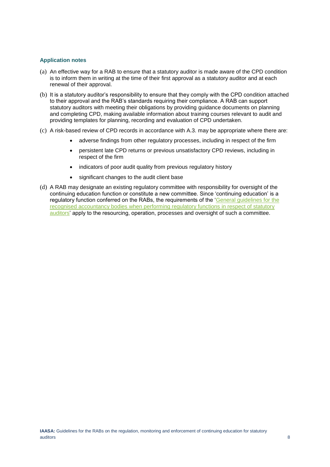#### <span id="page-8-0"></span>**Application notes**

- (a) An effective way for a RAB to ensure that a statutory auditor is made aware of the CPD condition is to inform them in writing at the time of their first approval as a statutory auditor and at each renewal of their approval.
- (b) It is a statutory auditor's responsibility to ensure that they comply with the CPD condition attached to their approval and the RAB's standards requiring their compliance. A RAB can support statutory auditors with meeting their obligations by providing guidance documents on planning and completing CPD, making available information about training courses relevant to audit and providing templates for planning, recording and evaluation of CPD undertaken.
- (c) A risk-based review of CPD records in accordance with A.3. may be appropriate where there are:
	- adverse findings from other regulatory processes, including in respect of the firm
	- persistent late CPD returns or previous unsatisfactory CPD reviews, including in respect of the firm
	- indicators of poor audit quality from previous regulatory history
	- significant changes to the audit client base
- (d) A RAB may designate an existing regulatory committee with responsibility for oversight of the continuing education function or constitute a new committee. Since 'continuing education' is a regulatory function conferred on the RABs, the requirements of the ['General guidelines for the](https://iaasa.ie/IAASA/files/98/98565adc-7648-4835-9982-2bf433fcda3c.pdf)  [recognised accountancy bodies when performing regulatory functions in respect of statutory](https://iaasa.ie/IAASA/files/98/98565adc-7648-4835-9982-2bf433fcda3c.pdf)  [auditors'](https://iaasa.ie/IAASA/files/98/98565adc-7648-4835-9982-2bf433fcda3c.pdf) apply to the resourcing, operation, processes and oversight of such a committee.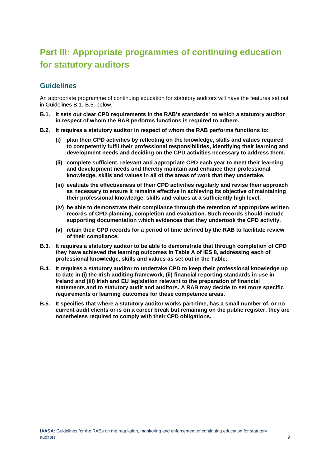## <span id="page-9-0"></span>**Part III: Appropriate programmes of continuing education for statutory auditors**

#### <span id="page-9-1"></span>**Guidelines**

An appropriate programme of continuing education for statutory auditors will have the features set out in Guidelines B.1.-B.5. below.

- **B.1. It sets out clear CPD requirements in the RAB's standards**<sup>1</sup> **to which a statutory auditor in respect of whom the RAB performs functions is required to adhere.**
- **B.2. It requires a statutory auditor in respect of whom the RAB performs functions to:** 
	- **(i) plan their CPD activities by reflecting on the knowledge, skills and values required to competently fulfil their professional responsibilities, identifying their learning and development needs and deciding on the CPD activities necessary to address them.**
	- **(ii) complete sufficient, relevant and appropriate CPD each year to meet their learning and development needs and thereby maintain and enhance their professional knowledge, skills and values in all of the areas of work that they undertake.**
	- **(iii) evaluate the effectiveness of their CPD activities regularly and revise their approach as necessary to ensure it remains effective in achieving its objective of maintaining their professional knowledge, skills and values at a sufficiently high level.**
	- **(iv) be able to demonstrate their compliance through the retention of appropriate written records of CPD planning, completion and evaluation. Such records should include supporting documentation which evidences that they undertook the CPD activity.**
	- **(v) retain their CPD records for a period of time defined by the RAB to facilitate review of their compliance.**
- **B.3. It requires a statutory auditor to be able to demonstrate that through completion of CPD they have achieved the learning outcomes in Table A of IES 8, addressing each of professional knowledge, skills and values as set out in the Table.**
- **B.4. It requires a statutory auditor to undertake CPD to keep their professional knowledge up to date in (i) the Irish auditing framework, (ii) financial reporting standards in use in Ireland and (iii) Irish and EU legislation relevant to the preparation of financial statements and to statutory audit and auditors. A RAB may decide to set more specific requirements or learning outcomes for these competence areas.**
- **B.5. It specifies that where a statutory auditor works part-time, has a small number of, or no current audit clients or is on a career break but remaining on the public register, they are nonetheless required to comply with their CPD obligations.**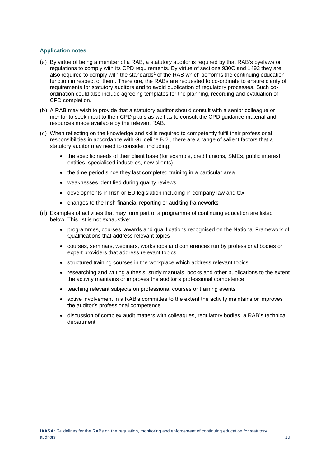#### <span id="page-10-0"></span>**Application notes**

- (a) By virtue of being a member of a RAB, a statutory auditor is required by that RAB's byelaws or regulations to comply with its CPD requirements. By virtue of sections 930C and 1492 they are also required to comply with the standards<sup>[1](#page-6-2)</sup> of the RAB which performs the continuing education function in respect of them. Therefore, the RABs are requested to co-ordinate to ensure clarity of requirements for statutory auditors and to avoid duplication of regulatory processes. Such coordination could also include agreeing templates for the planning, recording and evaluation of CPD completion.
- (b) A RAB may wish to provide that a statutory auditor should consult with a senior colleague or mentor to seek input to their CPD plans as well as to consult the CPD guidance material and resources made available by the relevant RAB.
- (c) When reflecting on the knowledge and skills required to competently fulfil their professional responsibilities in accordance with Guideline B.2., there are a range of salient factors that a statutory auditor may need to consider, including:
	- the specific needs of their client base (for example, credit unions, SMEs, public interest entities, specialised industries, new clients)
	- the time period since they last completed training in a particular area
	- weaknesses identified during quality reviews
	- developments in Irish or EU legislation including in company law and tax
	- changes to the Irish financial reporting or auditing frameworks
- (d) Examples of activities that may form part of a programme of continuing education are listed below. This list is not exhaustive:
	- programmes, courses, awards and qualifications recognised on the National Framework of Qualifications that address relevant topics
	- courses, seminars, webinars, workshops and conferences run by professional bodies or expert providers that address relevant topics
	- structured training courses in the workplace which address relevant topics
	- researching and writing a thesis, study manuals, books and other publications to the extent the activity maintains or improves the auditor's professional competence
	- teaching relevant subjects on professional courses or training events
	- active involvement in a RAB's committee to the extent the activity maintains or improves the auditor's professional competence
	- discussion of complex audit matters with colleagues, regulatory bodies, a RAB's technical department